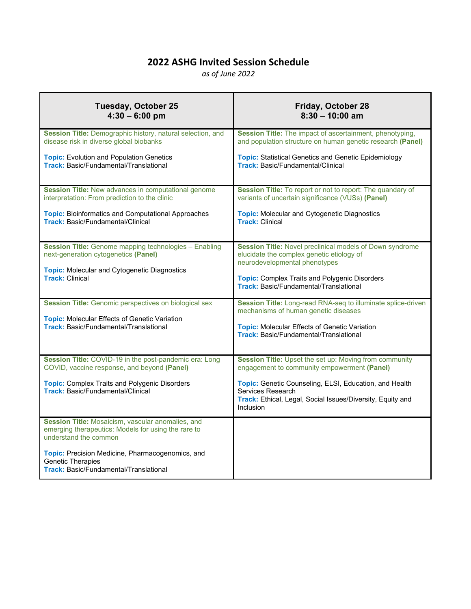# **2022 ASHG Invited Session Schedule**

*as of June 2022*

| <b>Tuesday, October 25</b>                                                                                                        | <b>Friday, October 28</b>                                                                                                                              |
|-----------------------------------------------------------------------------------------------------------------------------------|--------------------------------------------------------------------------------------------------------------------------------------------------------|
| $4:30 - 6:00$ pm                                                                                                                  | $8:30 - 10:00$ am                                                                                                                                      |
| Session Title: Demographic history, natural selection, and                                                                        | Session Title: The impact of ascertainment, phenotyping,                                                                                               |
| disease risk in diverse global biobanks                                                                                           | and population structure on human genetic research (Panel)                                                                                             |
| <b>Topic:</b> Evolution and Population Genetics                                                                                   | <b>Topic: Statistical Genetics and Genetic Epidemiology</b>                                                                                            |
| <b>Track: Basic/Fundamental/Translational</b>                                                                                     | <b>Track: Basic/Fundamental/Clinical</b>                                                                                                               |
| Session Title: New advances in computational genome                                                                               | Session Title: To report or not to report: The quandary of                                                                                             |
| interpretation: From prediction to the clinic                                                                                     | variants of uncertain significance (VUSs) (Panel)                                                                                                      |
| <b>Topic: Bioinformatics and Computational Approaches</b>                                                                         | <b>Topic: Molecular and Cytogenetic Diagnostics</b>                                                                                                    |
| <b>Track: Basic/Fundamental/Clinical</b>                                                                                          | <b>Track: Clinical</b>                                                                                                                                 |
| <b>Session Title:</b> Genome mapping technologies - Enabling                                                                      | Session Title: Novel preclinical models of Down syndrome                                                                                               |
| next-generation cytogenetics (Panel)                                                                                              | elucidate the complex genetic etiology of                                                                                                              |
| <b>Topic: Molecular and Cytogenetic Diagnostics</b>                                                                               | neurodevelopmental phenotypes                                                                                                                          |
| <b>Track: Clinical</b>                                                                                                            | <b>Topic: Complex Traits and Polygenic Disorders</b><br><b>Track: Basic/Fundamental/Translational</b>                                                  |
| <b>Session Title:</b> Genomic perspectives on biological sex                                                                      | Session Title: Long-read RNA-seq to illuminate splice-driven                                                                                           |
| <b>Topic: Molecular Effects of Genetic Variation</b>                                                                              | mechanisms of human genetic diseases                                                                                                                   |
| <b>Track: Basic/Fundamental/Translational</b>                                                                                     | <b>Topic: Molecular Effects of Genetic Variation</b><br><b>Track: Basic/Fundamental/Translational</b>                                                  |
| Session Title: COVID-19 in the post-pandemic era: Long                                                                            | Session Title: Upset the set up: Moving from community                                                                                                 |
| COVID, vaccine response, and beyond (Panel)                                                                                       | engagement to community empowerment (Panel)                                                                                                            |
| <b>Topic:</b> Complex Traits and Polygenic Disorders<br><b>Track: Basic/Fundamental/Clinical</b>                                  | Topic: Genetic Counseling, ELSI, Education, and Health<br>Services Research<br>Track: Ethical, Legal, Social Issues/Diversity, Equity and<br>Inclusion |
| Session Title: Mosaicism, vascular anomalies, and<br>emerging therapeutics: Models for using the rare to<br>understand the common |                                                                                                                                                        |
| Topic: Precision Medicine, Pharmacogenomics, and<br><b>Genetic Therapies</b><br><b>Track: Basic/Fundamental/Translational</b>     |                                                                                                                                                        |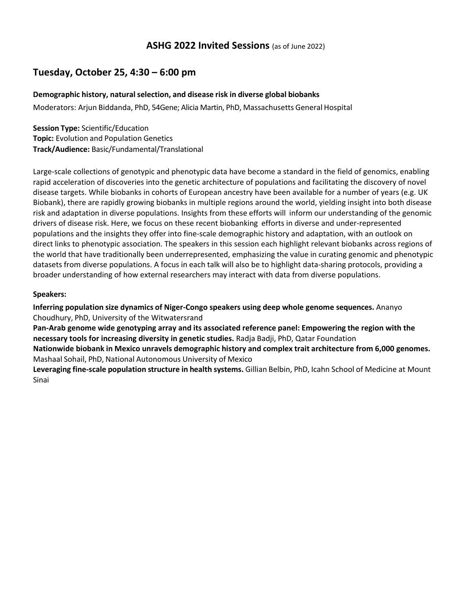## **ASHG 2022 Invited Sessions** (as of June 2022)

## **Tuesday, October 25, 4:30 – 6:00 pm**

### **Demographic history, natural selection, and disease risk in diverse global biobanks**

Moderators: Arjun Biddanda, PhD, 54Gene; Alicia Martin, PhD, Massachusetts General Hospital

**Session Type:** Scientific/Education **Topic:** Evolution and Population Genetics **Track/Audience:** Basic/Fundamental/Translational

Large-scale collections of genotypic and phenotypic data have become a standard in the field of genomics, enabling rapid acceleration of discoveries into the genetic architecture of populations and facilitating the discovery of novel disease targets. While biobanks in cohorts of European ancestry have been available for a number of years (e.g. UK Biobank), there are rapidly growing biobanks in multiple regions around the world, yielding insight into both disease risk and adaptation in diverse populations. Insights from these efforts will inform our understanding of the genomic drivers of disease risk. Here, we focus on these recent biobanking efforts in diverse and under-represented populations and the insights they offer into fine-scale demographic history and adaptation, with an outlook on direct links to phenotypic association. The speakers in this session each highlight relevant biobanks across regions of the world that have traditionally been underrepresented, emphasizing the value in curating genomic and phenotypic datasets from diverse populations. A focus in each talk will also be to highlight data-sharing protocols, providing a broader understanding of how external researchers may interact with data from diverse populations.

### **Speakers:**

**Inferring population size dynamics of Niger-Congo speakers using deep whole genome sequences.** Ananyo Choudhury, PhD, University of the Witwatersrand

**Pan-Arab genome wide genotyping array and its associated reference panel: Empowering the region with the necessary tools for increasing diversity in genetic studies.** Radja Badji, PhD, Qatar Foundation

**Nationwide biobank in Mexico unravels demographic history and complex trait architecture from 6,000 genomes.**  Mashaal Sohail, PhD, National Autonomous University of Mexico

**Leveraging fine-scale population structure in health systems.** Gillian Belbin, PhD, Icahn School of Medicine at Mount Sinai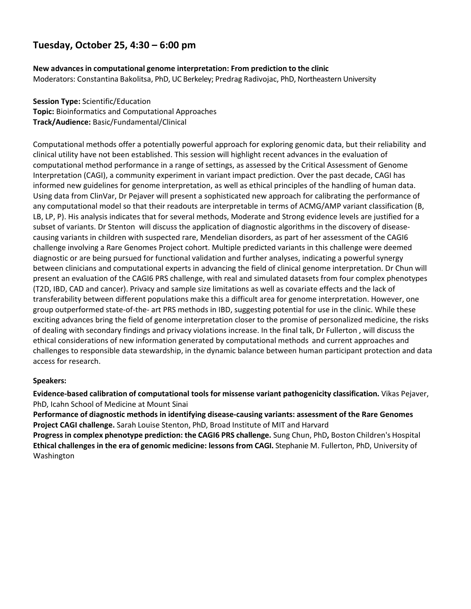# **New advancesin computational genome interpretation: From prediction to the clinic**

Moderators: Constantina Bakolitsa, PhD, UC Berkeley; Predrag Radivojac, PhD, Northeastern University

**Session Type:** Scientific/Education **Topic:** Bioinformatics and Computational Approaches **Track/Audience:** Basic/Fundamental/Clinical

Computational methods offer a potentially powerful approach for exploring genomic data, but their reliability and clinical utility have not been established. This session will highlight recent advances in the evaluation of computational method performance in a range of settings, as assessed by the Critical Assessment of Genome Interpretation (CAGI), a community experiment in variant impact prediction. Over the past decade, CAGI has informed new guidelines for genome interpretation, as well as ethical principles of the handling of human data. Using data from ClinVar, Dr Pejaver will present a sophisticated new approach for calibrating the performance of any computational model so that their readouts are interpretable in terms of ACMG/AMP variant classification (B, LB, LP, P). His analysis indicates that for several methods, Moderate and Strong evidence levels are justified for a subset of variants. Dr Stenton will discuss the application of diagnostic algorithms in the discovery of diseasecausing variants in children with suspected rare, Mendelian disorders, as part of her assessment of the CAGI6 challenge involving a Rare Genomes Project cohort. Multiple predicted variants in this challenge were deemed diagnostic or are being pursued for functional validation and further analyses, indicating a powerful synergy between clinicians and computational experts in advancing the field of clinical genome interpretation. Dr Chun will present an evaluation of the CAGI6 PRS challenge, with real and simulated datasets from four complex phenotypes (T2D, IBD, CAD and cancer). Privacy and sample size limitations as well as covariate effects and the lack of transferability between different populations make this a difficult area for genome interpretation. However, one group outperformed state-of-the- art PRS methods in IBD, suggesting potential for use in the clinic. While these exciting advances bring the field of genome interpretation closer to the promise of personalized medicine, the risks of dealing with secondary findings and privacy violations increase. In the final talk, Dr Fullerton , will discuss the ethical considerations of new information generated by computational methods and current approaches and challenges to responsible data stewardship, in the dynamic balance between human participant protection and data access for research.

### **Speakers:**

**Evidence-based calibration of computational tools for missense variant pathogenicity classification.** Vikas Pejaver, PhD, Icahn School of Medicine at Mount Sinai

**Performance of diagnostic methods in identifying disease-causing variants: assessment of the Rare Genomes Project CAGI challenge.** Sarah Louise Stenton, PhD, Broad Institute of MIT and Harvard **Progress in complex phenotype prediction: the CAGI6 PRS challenge.** Sung Chun, PhD**,** Boston Children's Hospital

**Ethical challenges in the era of genomic medicine: lessons from CAGI.** Stephanie M. Fullerton, PhD, University of Washington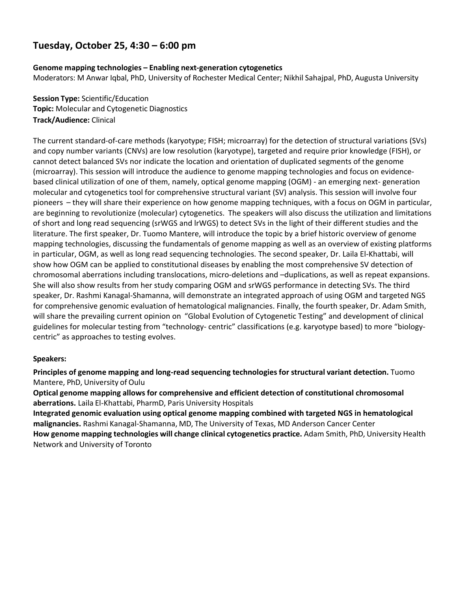### **Genome mapping technologies – Enabling next-generation cytogenetics**

Moderators: M Anwar Iqbal, PhD, University of Rochester Medical Center; Nikhil Sahajpal, PhD, Augusta University

**Session Type:** Scientific/Education **Topic:** Molecular and Cytogenetic Diagnostics **Track/Audience:** Clinical

The current standard-of-care methods (karyotype; FISH; microarray) for the detection of structural variations (SVs) and copy number variants (CNVs) are low resolution (karyotype), targeted and require prior knowledge (FISH), or cannot detect balanced SVs nor indicate the location and orientation of duplicated segments of the genome (microarray). This session will introduce the audience to genome mapping technologies and focus on evidencebased clinical utilization of one of them, namely, optical genome mapping (OGM) - an emerging next- generation molecular and cytogenetics tool for comprehensive structural variant (SV) analysis. This session will involve four pioneers – they will share their experience on how genome mapping techniques, with a focus on OGM in particular, are beginning to revolutionize (molecular) cytogenetics. The speakers will also discuss the utilization and limitations of short and long read sequencing (srWGS and lrWGS) to detect SVs in the light of their different studies and the literature. The first speaker, Dr. Tuomo Mantere, will introduce the topic by a brief historic overview of genome mapping technologies, discussing the fundamentals of genome mapping as well as an overview of existing platforms in particular, OGM, as well as long read sequencing technologies. The second speaker, Dr. Laila El-Khattabi, will show how OGM can be applied to constitutional diseases by enabling the most comprehensive SV detection of chromosomal aberrations including translocations, micro-deletions and –duplications, as well as repeat expansions. She will also show results from her study comparing OGM and srWGS performance in detecting SVs. The third speaker, Dr. Rashmi Kanagal-Shamanna, will demonstrate an integrated approach of using OGM and targeted NGS for comprehensive genomic evaluation of hematological malignancies. Finally, the fourth speaker, Dr. Adam Smith, will share the prevailing current opinion on "Global Evolution of Cytogenetic Testing" and development of clinical guidelines for molecular testing from "technology- centric" classifications (e.g. karyotype based) to more "biologycentric" as approaches to testing evolves.

### **Speakers:**

**Principles of genome mapping and long-read sequencing technologies for structural variant detection.** Tuomo Mantere, PhD, University of Oulu

**Optical genome mapping allows for comprehensive and efficient detection of constitutional chromosomal aberrations.** Laila El-Khattabi, PharmD, Paris University Hospitals

**Integrated genomic evaluation using optical genome mapping combined with targeted NGS in hematological malignancies.** Rashmi Kanagal-Shamanna, MD, The University of Texas, MD Anderson Cancer Center **How genome mapping technologies will change clinical cytogenetics practice.** Adam Smith, PhD, University Health Network and University of Toronto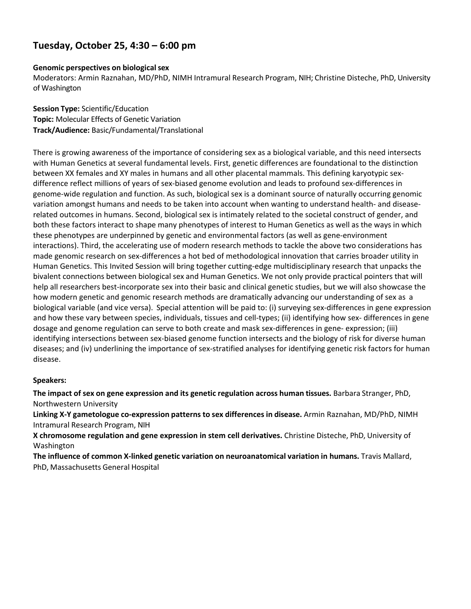### **Genomic perspectives on biological sex**

Moderators: Armin Raznahan, MD/PhD, NIMH Intramural Research Program, NIH; Christine Disteche, PhD, University of Washington

**Session Type:** Scientific/Education **Topic:** Molecular Effects of Genetic Variation **Track/Audience:** Basic/Fundamental/Translational

There is growing awareness of the importance of considering sex as a biological variable, and this need intersects with Human Genetics at several fundamental levels. First, genetic differences are foundational to the distinction between XX females and XY males in humans and all other placental mammals. This defining karyotypic sexdifference reflect millions of years of sex-biased genome evolution and leads to profound sex-differences in genome-wide regulation and function. As such, biological sex is a dominant source of naturally occurring genomic variation amongst humans and needs to be taken into account when wanting to understand health- and diseaserelated outcomes in humans. Second, biological sex is intimately related to the societal construct of gender, and both these factors interact to shape many phenotypes of interest to Human Genetics as well as the ways in which these phenotypes are underpinned by genetic and environmental factors (as well as gene-environment interactions). Third, the accelerating use of modern research methods to tackle the above two considerations has made genomic research on sex-differences a hot bed of methodological innovation that carries broader utility in Human Genetics. This Invited Session will bring together cutting-edge multidisciplinary research that unpacks the bivalent connections between biological sex and Human Genetics. We not only provide practical pointers that will help all researchers best-incorporate sex into their basic and clinical genetic studies, but we will also showcase the how modern genetic and genomic research methods are dramatically advancing our understanding of sex as a biological variable (and vice versa). Special attention will be paid to: (i) surveying sex-differences in gene expression and how these vary between species, individuals, tissues and cell-types; (ii) identifying how sex- differences in gene dosage and genome regulation can serve to both create and mask sex-differences in gene- expression; (iii) identifying intersections between sex-biased genome function intersects and the biology of risk for diverse human diseases; and (iv) underlining the importance of sex-stratified analyses for identifying genetic risk factors for human disease.

### **Speakers:**

**The impact of sex on gene expression and its genetic regulation across human tissues.** Barbara Stranger, PhD, Northwestern University

**Linking X-Y gametologue co-expression patterns to sex differences in disease.** Armin Raznahan, MD/PhD, NIMH Intramural Research Program, NIH

**X chromosome regulation and gene expression in stem cell derivatives.** Christine Disteche, PhD, University of Washington

**The influence of common X-linked genetic variation on neuroanatomical variation in humans.** Travis Mallard, PhD, Massachusetts General Hospital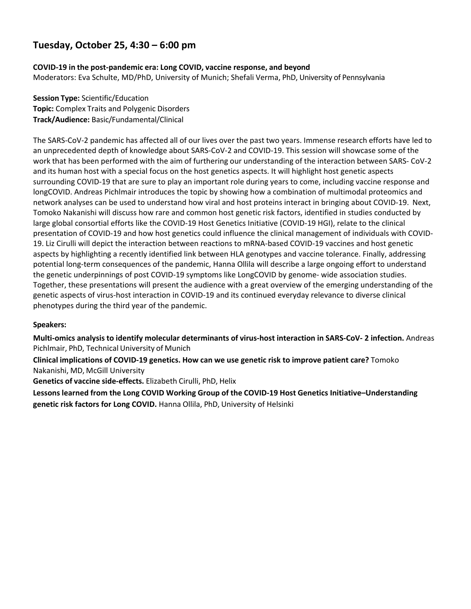### **COVID-19 in the post-pandemic era: Long COVID, vaccine response, and beyond**

Moderators: Eva Schulte, MD/PhD, University of Munich; Shefali Verma, PhD, University of Pennsylvania

**Session Type:** Scientific/Education **Topic:** Complex Traits and Polygenic Disorders **Track/Audience:** Basic/Fundamental/Clinical

The SARS-CoV-2 pandemic has affected all of our lives over the past two years. Immense research efforts have led to an unprecedented depth of knowledge about SARS-CoV-2 and COVID-19. This session will showcase some of the work that has been performed with the aim of furthering our understanding of the interaction between SARS- CoV-2 and its human host with a special focus on the host genetics aspects. It will highlight host genetic aspects surrounding COVID-19 that are sure to play an important role during years to come, including vaccine response and longCOVID. Andreas Pichlmair introduces the topic by showing how a combination of multimodal proteomics and network analyses can be used to understand how viral and host proteins interact in bringing about COVID-19. Next, Tomoko Nakanishi will discuss how rare and common host genetic risk factors, identified in studies conducted by large global consortial efforts like the COVID-19 Host Genetics Initiative (COVID-19 HGI), relate to the clinical presentation of COVID-19 and how host genetics could influence the clinical management of individuals with COVID-19. Liz Cirulli will depict the interaction between reactions to mRNA-based COVID-19 vaccines and host genetic aspects by highlighting a recently identified link between HLA genotypes and vaccine tolerance. Finally, addressing potential long-term consequences of the pandemic, Hanna Ollila will describe a large ongoing effort to understand the genetic underpinnings of post COVID-19 symptoms like LongCOVID by genome- wide association studies. Together, these presentations will present the audience with a great overview of the emerging understanding of the genetic aspects of virus-host interaction in COVID-19 and its continued everyday relevance to diverse clinical phenotypes during the third year of the pandemic.

### **Speakers:**

**Multi-omics analysis to identify molecular determinants of virus-host interaction in SARS-CoV- 2 infection.** Andreas Pichlmair, PhD, Technical University of Munich

**Clinical implications of COVID-19 genetics. How can we use genetic risk to improve patient care?** Tomoko Nakanishi, MD, McGill University

**Genetics of vaccine side-effects.** Elizabeth Cirulli, PhD, Helix

**Lessons learned from the Long COVID Working Group of the COVID-19 Host Genetics Initiative–Understanding genetic risk factors for Long COVID.** Hanna Ollila, PhD, University of Helsinki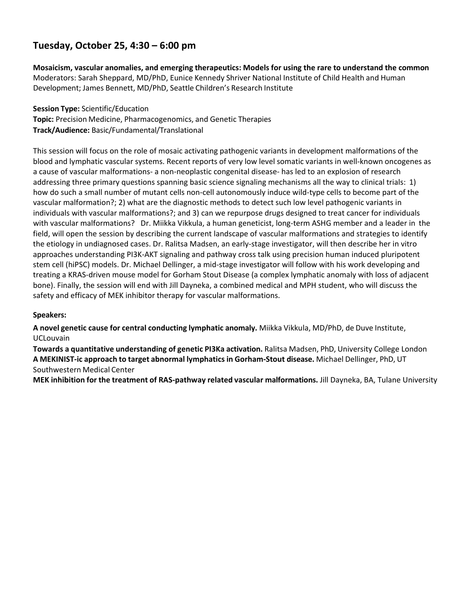**Mosaicism, vascular anomalies, and emerging therapeutics: Models for using the rare to understand the common** Moderators: Sarah Sheppard, MD/PhD, Eunice Kennedy Shriver National Institute of Child Health and Human Development; James Bennett, MD/PhD, Seattle Children's Research Institute

**Session Type:** Scientific/Education

**Topic:** Precision Medicine, Pharmacogenomics, and Genetic Therapies **Track/Audience:** Basic/Fundamental/Translational

This session will focus on the role of mosaic activating pathogenic variants in development malformations of the blood and lymphatic vascular systems. Recent reports of very low level somatic variants in well-known oncogenes as a cause of vascular malformations- a non-neoplastic congenital disease- has led to an explosion of research addressing three primary questions spanning basic science signaling mechanisms all the way to clinical trials: 1) how do such a small number of mutant cells non-cell autonomously induce wild-type cells to become part of the vascular malformation?; 2) what are the diagnostic methods to detect such low level pathogenic variants in individuals with vascular malformations?; and 3) can we repurpose drugs designed to treat cancer for individuals with vascular malformations? Dr. Miikka Vikkula, a human geneticist, long-term ASHG member and a leader in the field, will open the session by describing the current landscape of vascular malformations and strategies to identify the etiology in undiagnosed cases. Dr. Ralitsa Madsen, an early-stage investigator, will then describe her in vitro approaches understanding PI3K-AKT signaling and pathway cross talk using precision human induced pluripotent stem cell (hiPSC) models. Dr. Michael Dellinger, a mid-stage investigator will follow with his work developing and treating a KRAS-driven mouse model for Gorham Stout Disease (a complex lymphatic anomaly with loss of adjacent bone). Finally, the session will end with Jill Dayneka, a combined medical and MPH student, who will discuss the safety and efficacy of MEK inhibitor therapy for vascular malformations.

### **Speakers:**

**A novel genetic cause for central conducting lymphatic anomaly.** Miikka Vikkula, MD/PhD, de Duve Institute, UCLouvain

**Towards a quantitative understanding of genetic PI3Ka activation.** Ralitsa Madsen, PhD, University College London **A MEKINIST-ic approach to target abnormal lymphatics in Gorham-Stout disease.** Michael Dellinger, PhD, UT Southwestern Medical Center

**MEK inhibition for the treatment of RAS-pathway related vascular malformations.** Jill Dayneka, BA, Tulane University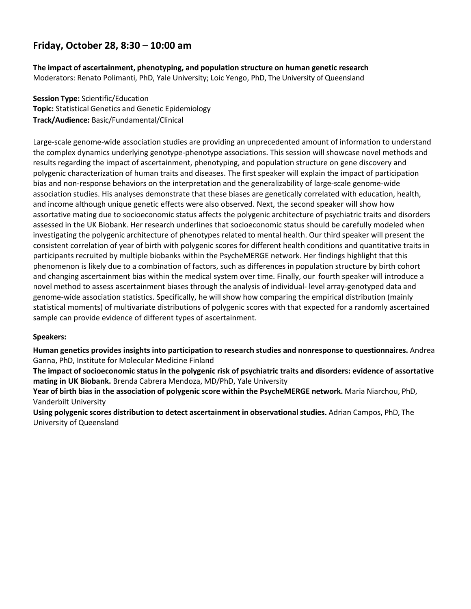**The impact of ascertainment, phenotyping, and population structure on human genetic research** Moderators: Renato Polimanti, PhD, Yale University; Loic Yengo, PhD, The University of Queensland

**Session Type:** Scientific/Education **Topic:** Statistical Genetics and Genetic Epidemiology **Track/Audience:** Basic/Fundamental/Clinical

Large-scale genome-wide association studies are providing an unprecedented amount of information to understand the complex dynamics underlying genotype-phenotype associations. This session will showcase novel methods and results regarding the impact of ascertainment, phenotyping, and population structure on gene discovery and polygenic characterization of human traits and diseases. The first speaker will explain the impact of participation bias and non-response behaviors on the interpretation and the generalizability of large-scale genome-wide association studies. His analyses demonstrate that these biases are genetically correlated with education, health, and income although unique genetic effects were also observed. Next, the second speaker will show how assortative mating due to socioeconomic status affects the polygenic architecture of psychiatric traits and disorders assessed in the UK Biobank. Her research underlines that socioeconomic status should be carefully modeled when investigating the polygenic architecture of phenotypes related to mental health. Our third speaker will present the consistent correlation of year of birth with polygenic scores for different health conditions and quantitative traits in participants recruited by multiple biobanks within the PsycheMERGE network. Her findings highlight that this phenomenon is likely due to a combination of factors, such as differences in population structure by birth cohort and changing ascertainment bias within the medical system over time. Finally, our fourth speaker will introduce a novel method to assess ascertainment biases through the analysis of individual- level array-genotyped data and genome-wide association statistics. Specifically, he will show how comparing the empirical distribution (mainly statistical moments) of multivariate distributions of polygenic scores with that expected for a randomly ascertained sample can provide evidence of different types of ascertainment.

### **Speakers:**

**Human genetics provides insights into participation to research studies and nonresponse to questionnaires.** Andrea Ganna, PhD, Institute for Molecular Medicine Finland

**The impact of socioeconomic status in the polygenic risk of psychiatric traits and disorders: evidence of assortative mating in UK Biobank.** Brenda Cabrera Mendoza, MD/PhD, Yale University

**Year of birth bias in the association of polygenic score within the PsycheMERGE network.** Maria Niarchou, PhD, Vanderbilt University

**Using polygenic scores distribution to detect ascertainment in observational studies.** Adrian Campos, PhD, The University of Queensland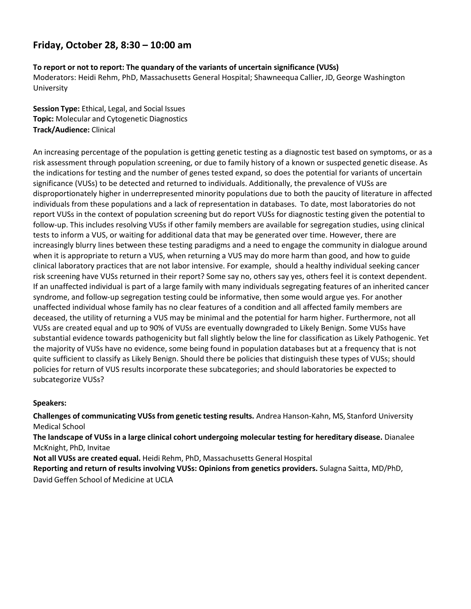### **To report or not to report: The quandary of the variants of uncertain significance (VUSs)**

Moderators: Heidi Rehm, PhD, Massachusetts General Hospital; Shawneequa Callier, JD, George Washington University

**Session Type:** Ethical, Legal, and Social Issues **Topic:** Molecular and Cytogenetic Diagnostics **Track/Audience:** Clinical

An increasing percentage of the population is getting genetic testing as a diagnostic test based on symptoms, or as a risk assessment through population screening, or due to family history of a known or suspected genetic disease. As the indications for testing and the number of genes tested expand, so does the potential for variants of uncertain significance (VUSs) to be detected and returned to individuals. Additionally, the prevalence of VUSs are disproportionately higher in underrepresented minority populations due to both the paucity of literature in affected individuals from these populations and a lack of representation in databases. To date, most laboratories do not report VUSs in the context of population screening but do report VUSs for diagnostic testing given the potential to follow-up. This includes resolving VUSs if other family members are available for segregation studies, using clinical tests to inform a VUS, or waiting for additional data that may be generated over time. However, there are increasingly blurry lines between these testing paradigms and a need to engage the community in dialogue around when it is appropriate to return a VUS, when returning a VUS may do more harm than good, and how to guide clinical laboratory practices that are not labor intensive. For example, should a healthy individual seeking cancer risk screening have VUSs returned in their report? Some say no, others say yes, others feel it is context dependent. If an unaffected individual is part of a large family with many individuals segregating features of an inherited cancer syndrome, and follow-up segregation testing could be informative, then some would argue yes. For another unaffected individual whose family has no clear features of a condition and all affected family members are deceased, the utility of returning a VUS may be minimal and the potential for harm higher. Furthermore, not all VUSs are created equal and up to 90% of VUSs are eventually downgraded to Likely Benign. Some VUSs have substantial evidence towards pathogenicity but fall slightly below the line for classification as Likely Pathogenic. Yet the majority of VUSs have no evidence, some being found in population databases but at a frequency that is not quite sufficient to classify as Likely Benign. Should there be policies that distinguish these types of VUSs; should policies for return of VUS results incorporate these subcategories; and should laboratories be expected to subcategorize VUSs?

### **Speakers:**

**Challenges of communicating VUSsfrom genetic testing results.** Andrea Hanson-Kahn, MS, Stanford University Medical School

**The landscape of VUSs in a large clinical cohort undergoing molecular testing for hereditary disease.** Dianalee McKnight, PhD, Invitae

**Not all VUSs are created equal.** Heidi Rehm, PhD, Massachusetts General Hospital

**Reporting and return of results involving VUSs: Opinions from genetics providers.** Sulagna Saitta, MD/PhD, David Geffen School of Medicine at UCLA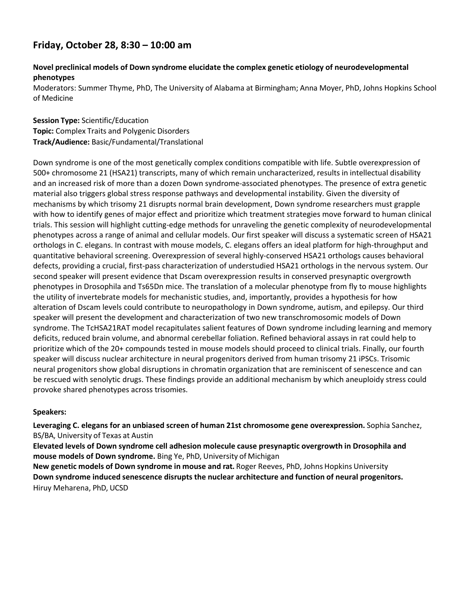### **Novel preclinical models of Down syndrome elucidate the complex genetic etiology of neurodevelopmental phenotypes**

Moderators: Summer Thyme, PhD, The University of Alabama at Birmingham; Anna Moyer, PhD, Johns Hopkins School of Medicine

**Session Type:** Scientific/Education **Topic:** Complex Traits and Polygenic Disorders **Track/Audience:** Basic/Fundamental/Translational

Down syndrome is one of the most genetically complex conditions compatible with life. Subtle overexpression of 500+ chromosome 21 (HSA21) transcripts, many of which remain uncharacterized, results in intellectual disability and an increased risk of more than a dozen Down syndrome-associated phenotypes. The presence of extra genetic material also triggers global stress response pathways and developmental instability. Given the diversity of mechanisms by which trisomy 21 disrupts normal brain development, Down syndrome researchers must grapple with how to identify genes of major effect and prioritize which treatment strategies move forward to human clinical trials. This session will highlight cutting-edge methods for unraveling the genetic complexity of neurodevelopmental phenotypes across a range of animal and cellular models. Our first speaker will discuss a systematic screen of HSA21 orthologs in C. elegans. In contrast with mouse models, C. elegans offers an ideal platform for high-throughput and quantitative behavioral screening. Overexpression of several highly-conserved HSA21 orthologs causes behavioral defects, providing a crucial, first-pass characterization of understudied HSA21 orthologs in the nervous system. Our second speaker will present evidence that Dscam overexpression results in conserved presynaptic overgrowth phenotypes in Drosophila and Ts65Dn mice. The translation of a molecular phenotype from fly to mouse highlights the utility of invertebrate models for mechanistic studies, and, importantly, provides a hypothesis for how alteration of Dscam levels could contribute to neuropathology in Down syndrome, autism, and epilepsy. Our third speaker will present the development and characterization of two new transchromosomic models of Down syndrome. The TcHSA21RAT model recapitulates salient features of Down syndrome including learning and memory deficits, reduced brain volume, and abnormal cerebellar foliation. Refined behavioral assays in rat could help to prioritize which of the 20+ compounds tested in mouse models should proceed to clinical trials. Finally, our fourth speaker will discuss nuclear architecture in neural progenitors derived from human trisomy 21 iPSCs. Trisomic neural progenitors show global disruptions in chromatin organization that are reminiscent of senescence and can be rescued with senolytic drugs. These findings provide an additional mechanism by which aneuploidy stress could provoke shared phenotypes across trisomies.

### **Speakers:**

**Leveraging C. elegans for an unbiased screen of human 21st chromosome gene overexpression.** Sophia Sanchez, BS/BA, University of Texas at Austin

**Elevated levels of Down syndrome cell adhesion molecule cause presynaptic overgrowth in Drosophila and mouse models of Down syndrome.** Bing Ye, PhD, University of Michigan

**New genetic models of Down syndrome in mouse and rat.** Roger Reeves, PhD, Johns Hopkins University **Down syndrome induced senescence disrupts the nuclear architecture and function of neural progenitors.** Hiruy Meharena, PhD, UCSD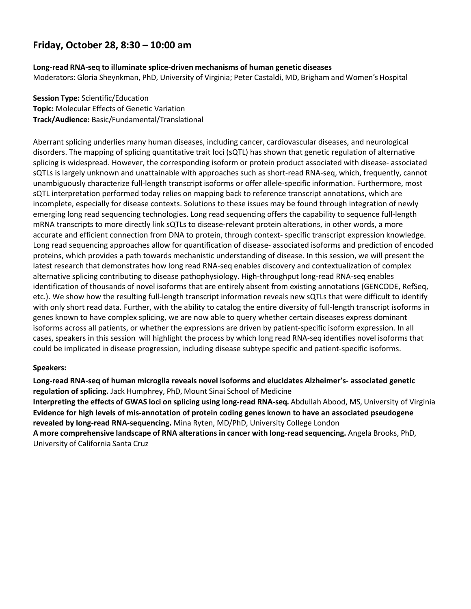**Long-read RNA-seq to illuminate splice-driven mechanisms of human genetic diseases** Moderators: Gloria Sheynkman, PhD, University of Virginia; Peter Castaldi, MD, Brigham and Women's Hospital

**Session Type:** Scientific/Education **Topic:** Molecular Effects of Genetic Variation **Track/Audience:** Basic/Fundamental/Translational

Aberrant splicing underlies many human diseases, including cancer, cardiovascular diseases, and neurological disorders. The mapping of splicing quantitative trait loci (sQTL) has shown that genetic regulation of alternative splicing is widespread. However, the corresponding isoform or protein product associated with disease- associated sQTLs is largely unknown and unattainable with approaches such as short-read RNA-seq, which, frequently, cannot unambiguously characterize full-length transcript isoforms or offer allele-specific information. Furthermore, most sQTL interpretation performed today relies on mapping back to reference transcript annotations, which are incomplete, especially for disease contexts. Solutions to these issues may be found through integration of newly emerging long read sequencing technologies. Long read sequencing offers the capability to sequence full-length mRNA transcripts to more directly link sQTLs to disease-relevant protein alterations, in other words, a more accurate and efficient connection from DNA to protein, through context- specific transcript expression knowledge. Long read sequencing approaches allow for quantification of disease- associated isoforms and prediction of encoded proteins, which provides a path towards mechanistic understanding of disease. In this session, we will present the latest research that demonstrates how long read RNA-seq enables discovery and contextualization of complex alternative splicing contributing to disease pathophysiology. High-throughput long-read RNA-seq enables identification of thousands of novel isoforms that are entirely absent from existing annotations (GENCODE, RefSeq, etc.). We show how the resulting full-length transcript information reveals new sQTLs that were difficult to identify with only short read data. Further, with the ability to catalog the entire diversity of full-length transcript isoforms in genes known to have complex splicing, we are now able to query whether certain diseases express dominant isoforms across all patients, or whether the expressions are driven by patient-specific isoform expression. In all cases, speakers in this session will highlight the process by which long read RNA-seq identifies novel isoforms that could be implicated in disease progression, including disease subtype specific and patient-specific isoforms.

### **Speakers:**

**Long-read RNA-seq of human microglia reveals novel isoforms and elucidates Alzheimer's- associated genetic regulation of splicing.** Jack Humphrey, PhD, Mount Sinai School of Medicine **Interpreting the effects of GWAS loci on splicing using long-read RNA-seq.** Abdullah Abood, MS, University of Virginia **Evidence for high levels of mis-annotation of protein coding genes known to have an associated pseudogene revealed by long-read RNA-sequencing.** Mina Ryten, MD/PhD, University College London **A more comprehensive landscape of RNA alterations in cancer with long-read sequencing.** Angela Brooks, PhD, University of California Santa Cruz